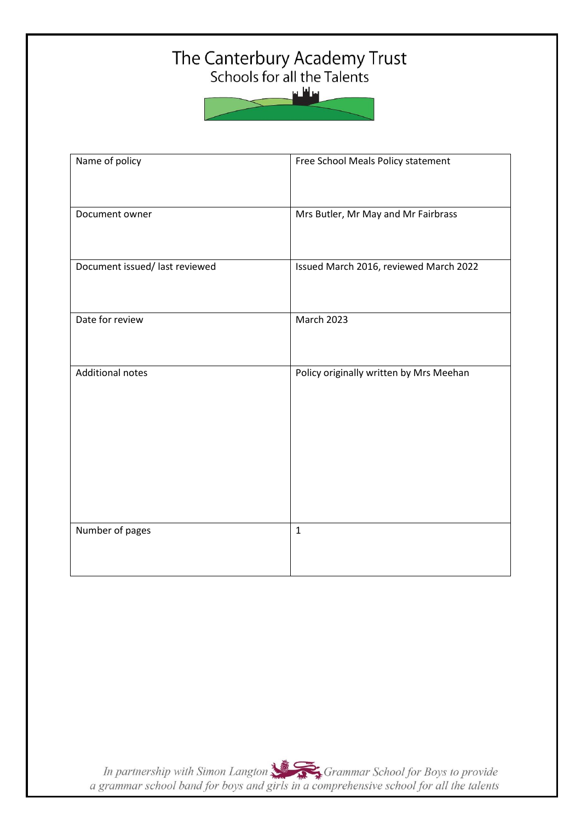## The Canterbury Academy Trust<br>Schools for all the Talents

سافلس

| Name of policy                 | Free School Meals Policy statement      |
|--------------------------------|-----------------------------------------|
| Document owner                 | Mrs Butler, Mr May and Mr Fairbrass     |
| Document issued/ last reviewed | Issued March 2016, reviewed March 2022  |
| Date for review                | March 2023                              |
| <b>Additional notes</b>        | Policy originally written by Mrs Meehan |
|                                |                                         |
|                                |                                         |
|                                |                                         |
| Number of pages                | $\mathbf 1$                             |

In partnership with Simon Langton Sexting Grammar School for Boys to provide<br>a grammar school band for boys and girls in a comprehensive school for all the talents